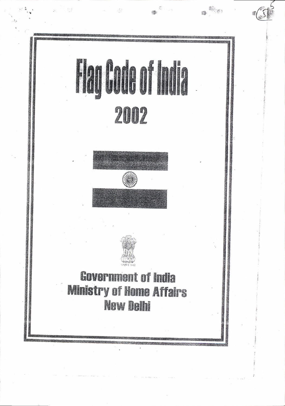